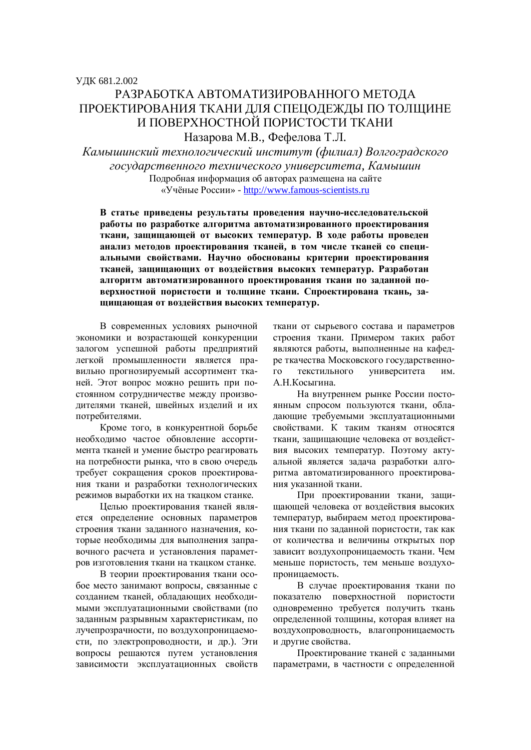## РАЗРАБОТКА АВТОМАТИЗИРОВАННОГО МЕТОДА ПРОЕКТИРОВАНИЯ ТКАНИ ДЛЯ СПЕЦОДЕЖДЫ ПО ТОЛЩИНЕ И ПОВЕРХНОСТНОЙ ПОРИСТОСТИ ТКАНИ

Назарова М.В., Фефелова Т.Л.

Камышинский технологический институт (филиал) Волгоградского  $20$ сударственного технического университета, Камышин Подробная информация об авторах размещена на сайте «Учёные России» - http://www.famous-scientists.ru

В статье приведены результаты проведения научно-исследовательской работы по разработке алгоритма автоматизированного проектирования ткани, защищающей от высоких температур. В ходе работы проведен анализ методов проектирования тканей, в том числе тканей со специальными свойствами. Научно обоснованы критерии проектирования тканей, защищающих от воздействия высоких температур. Разработан алгоритм автоматизированного проектирования ткани по заданной по**верхностной пористости и толщине ткани. Спроектирована ткань, за**щищающая от воздействия высоких температур.

В современных условиях рыночной экономики и возрастающей конкуренции залогом успешной работы предприятий легкой промышленности является правильно прогнозируемый ассортимент тканей. Этот вопрос можно решить при постоянном сотрудничестве между производителями тканей, швейных изделий и их потребителями.

Кроме того, в конкурентной борьбе необходимо частое обновление ассортимента тканей и умение быстро реагировать на потребности рынка, что в свою очередь требует сокращения сроков проектирования ткани и разработки технологических режимов выработки их на ткацком станке.

Целью проектирования тканей является определение основных параметров строения ткани заданного назначения, которые необходимы для выполнения заправочного расчета и установления параметров изготовления ткани на ткацком станке.

В теории проектирования ткани особое место занимают вопросы, связанные с созданием тканей, обладающих необходимыми эксплуатационными свойствами (по заданным разрывным характеристикам, по лучепрозрачности, по воздухопроницаемости, по электропроводности, и др.). Эти вопросы решаются путем установления зависимости эксплуатационных свойств ткани от сырьевого состава и параметров строения ткани. Примером таких работ являются работы, выполненные на кафедре ткачества Московского государственного текстильного университета им. А.Н.Косыгина.

На внутреннем рынке России постоянным спросом пользуются ткани, обладающие требуемыми эксплуатационными свойствами. К таким тканям относятся ткани, защищающие человека от воздействия высоких температур. Поэтому актуальной является задача разработки алгоритма автоматизированного проектирования указанной ткани.

При проектировании ткани, защищающей человека от воздействия высоких температур, выбираем метод проектирования ткани по заданной пористости, так как от количества и величины открытых пор зависит воздухопроницаемость ткани. Чем меньше пористость, тем меньше воздухопроницаемость.

В случае проектирования ткани по показателю поверхностной пористости одновременно требуется получить ткань определенной толщины, которая влияет на воздухопроводность, влагопроницаемость и лругие свойства.

Проектирование тканей с заланными параметрами, в частности с определенной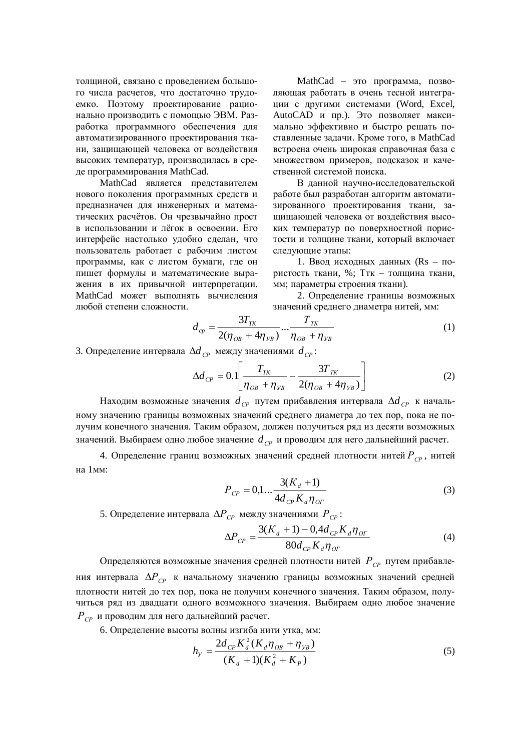толщиной, связано с проведением большого числа расчетов, что достаточно трудоемко. Поэтому проектирование рационально производить с помощью ЭВМ. Разработка программного обеспечения для автоматизированного проектирования ткани, защищающей человека от воздействия высоких температур, производилась в среде программирования MathCad.

MathCad является представителем нового поколения программных средств и предназначен для инженерных и математических расчётов. Он чрезвычайно прост в использовании и лёгок в освоении. Его интерфейс настолько удобно сделан, что пользователь работает с рабочим листом программы, как с листом бумаги, где он пишет формулы и математические выражения в их привычной интерпретации. MathCad может выполнять вычисления любой степени сложности.

MathCad – это программа, позволяющая работать в очень тесной интеграции с другими системами (Word, Excel, AutoCAD и пр.). Это позволяет максимально эффективно и быстро решать поставленные задачи. Кроме того, в MathCad встроена очень широкая справочная база с множеством примеров, подсказок и качественной системой поиска.

В данной научно-исследовательской работе был разработан алгоритм автоматизированного проектирования ткани, защищающей человека от воздействия высоких температур по поверхностной пористости и толщине ткани, который включает следующие этапы:

1. Ввод исходных данных (Rs – пористость ткани, %; Ттк – толщина ткани, мм; параметры строения ткани).

2. Определение границы возможных значений среднего диаметра нитей, мм:

$$
d_{cp} = \frac{3T_{TK}}{2(\eta_{OB} + 4\eta_{VB})} \cdots \frac{T_{TK}}{\eta_{OB} + \eta_{VB}}
$$
(1)

3. Определение интервала ∆d<sub>cp</sub> между значениями d<sub>cp</sub>:

$$
\Delta d_{CP} = 0.1 \left[ \frac{T_{\tau K}}{\eta_{OB} + \eta_{SB}} - \frac{3T_{\tau K}}{2(\eta_{OB} + 4\eta_{SB})} \right]
$$
(2)

Находим возможные значения  $d_{CP}$  путем прибавления интервала  $\Delta d_{CP}$  к начальному значению границы возможных значений среднего диаметра до тех пор, пока не получим конечного значения. Таким образом, должен получиться ряд из десяти возможных значений. Выбираем одно любое значение  $d_{CP}$  и проводим для него дальнейший расчет.

4. Определение границ возможных значений средней плотности нитей  $P_{\text{CP}}$ , нитей на 1мм:

$$
P_{CP} = 0,1... \frac{3(K_d + 1)}{4d_{CP}K_d \eta_{OT}}
$$
 (3)

5. Определение интервала  $\Delta P_{CP}$  между значениями  $P_{CP}$ :

$$
\Delta P_{CP} = \frac{3(K_d + 1) - 0.4d_{CP}K_d\eta_{OT}}{80d_{CP}K_d\eta_{OT}}
$$
(4)

Определяются возможные значения средней плотности нитей  $P_{\text{CP}}$  путем прибавления интервала  $\Delta P_{\text{CP}}$  к начальному значению границы возможных значений средней плотности нитей до тех пор, пока не получим конечного значения. Таким образом, получиться ряд из двадцати одного возможного значения. Выбираем одно любое значение  $P_{CP}$  и проводим для него дальнейший расчет.

6. Определение высоты волны изгиба нити утка, мм:

$$
h_{y} = \frac{2d_{CP}K_{d}^{2}(K_{d}\eta_{OB} + \eta_{VB})}{(K_{d} + 1)(K_{d}^{2} + K_{P})}
$$
(5)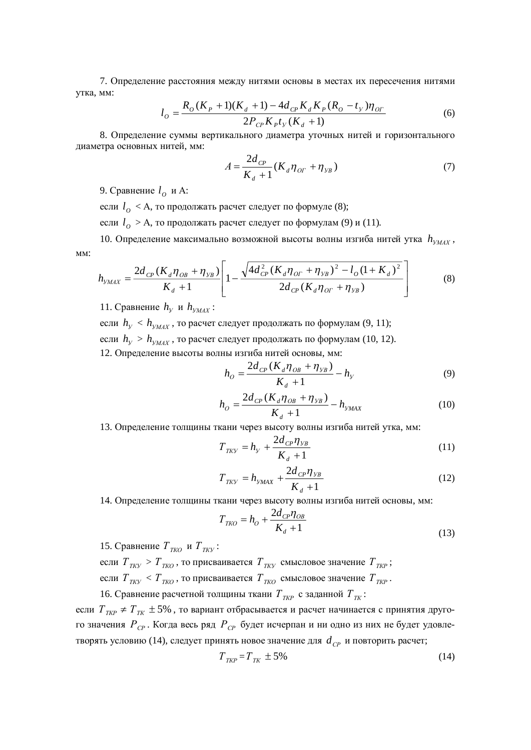7. Определение расстояния между нитями основы в местах их пересечения нитями утка, мм:

$$
l_o = \frac{R_o(K_p + 1)(K_d + 1) - 4d_{CP}K_dK_p(R_o - t_y)\eta_{OT}}{2P_{CP}K_p t_y(K_d + 1)}
$$
(6)

8. Определение суммы вертикального диаметра уточных нитей и горизонтального диаметра основных нитей, мм:

$$
A = \frac{2d_{CP}}{K_d + 1} (K_d \eta_{OT} + \eta_{VB})
$$
 (7)

9. Сравнение  $l_o$  и А:

если  $l_o$  < А, то продолжать расчет следует по формуле (8);

если  $l_o > A$ , то продолжать расчет следует по формулам (9) и (11).

10. Определение максимально возможной высоты волны изгиба нитей утка  $h_{\text{VMAX}}$ , MM:

$$
h_{y_{MAX}} = \frac{2d_{CP}(K_d \eta_{OB} + \eta_{y_B})}{K_d + 1} \left[ 1 - \frac{\sqrt{4d_{CP}^2 (K_d \eta_{OT} + \eta_{y_B})^2 - l_O (1 + K_d)^2}}{2d_{CP}(K_d \eta_{OT} + \eta_{y_B})} \right]
$$
(8)

11. Сравнение  $h_y$  и  $h_{y_{MAX}}$ :

если  $h_y < h_{y_{MAX}}$ , то расчет следует продолжать по формулам (9, 11); если  $h_y > h_{y_{MAX}}$ , то расчет следует продолжать по формулам (10, 12). 12. Определение высоты волны изгиба нитей основы, мм:

$$
h_{O} = \frac{2d_{CP}(K_{d}\eta_{OB} + \eta_{VB})}{K_{d} + 1} - h_{y}
$$
\n(9)

$$
h_{O} = \frac{2d_{CP}(K_{d}\eta_{OB} + \eta_{VB})}{K_{d} + 1} - h_{y_{MAX}}
$$
(10)

13. Определение толщины ткани через высоту волны изгиба нитей утка, мм:

$$
T_{TKY} = h_y + \frac{2d_{CP} \eta_{VB}}{K_d + 1}
$$
 (11)

$$
T_{TKV} = h_{YMAX} + \frac{2d_{CP}\eta_{VB}}{K_d + 1}
$$
 (12)

14. Определение толщины ткани через высоту волны изгиба нитей основы, мм:

$$
T_{IKO} = h_O + \frac{2d_{CP}\eta_{OB}}{K_d + 1}
$$
\n(13)

15. Сравнение  $T_{TKO}$  и  $T_{TKV}$ :

если  $T_{TKV} > T_{TKO}$ , то присваивается  $T_{TKV}$  смысловое значение  $T_{TKP}$ ; если  $T_{TKV}$  <  $T_{TKO}$ , то присваивается  $T_{TKO}$  смысловое значение  $T_{TKP}$ . 16. Сравнение расчетной толщины ткани  $T_{\text{TR}}$  с заданной  $T_{\text{TR}}$ :

если  $T_{\text{TKP}}$  ≠  $T_{\text{TK}}$  ± 5%, то вариант отбрасывается и расчет начинается с принятия другого значения  $P_{\text{CP}}$ . Когда весь ряд  $P_{\text{CP}}$  будет исчерпан и ни одно из них не будет удовлетворять условию (14), следует принять новое значение для  $d_{\text{CP}}$  и повторить расчет;

$$
T_{\text{TKP}} = T_{\text{TK}} \pm 5\% \tag{14}
$$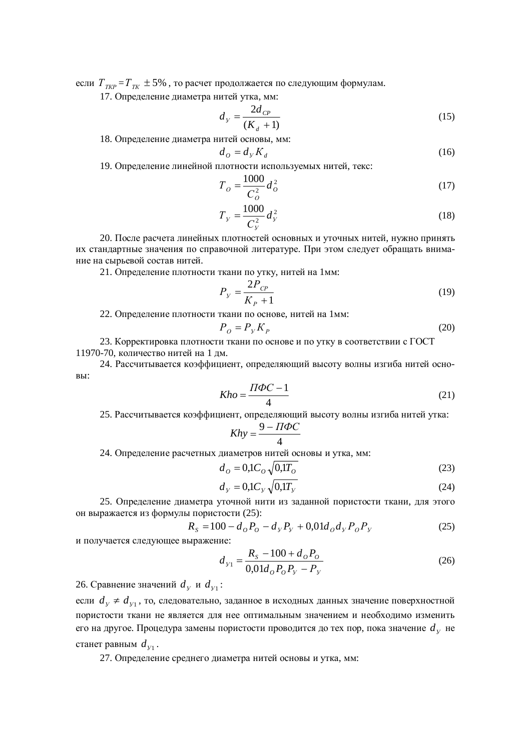если  $T_{\tau_{KP}} = T_{\tau_K} \pm 5\%$ , то расчет продолжается по следующим формулам.

17. Определение диаметра нитей утка, мм:

$$
d_{y} = \frac{2d_{CP}}{(K_d + 1)}
$$
 (15)

18. Определение диаметра нитей основы, мм:

$$
d_o = d_y K_d \tag{16}
$$

19. Определение линейной плотности используемых нитей, текс:

 $d_{\alpha}$ 

$$
T_o = \frac{1000}{C_o^2} d_o^2 \tag{17}
$$

$$
T_{y} = \frac{1000}{C_{y}^{2}} d_{y}^{2}
$$
 (18)

20. После расчета линейных плотностей основных и уточных нитей, нужно принять их стандартные значения по справочной литературе. При этом следует обращать внимание на сырьевой состав нитей.

21. Определение плотности ткани по утку, нитей на 1мм:

$$
P_{y} = \frac{2P_{CP}}{K_{P} + 1}
$$
 (19)

22. Определение плотности ткани по основе, нитей на 1мм:

$$
P_o = P_y K_p \tag{20}
$$

23. Корректировка плотности ткани по основе и по утку в соответствии с ГОСТ 11970-70, количество нитей на 1 дм.

24. Рассчитывается коэффициент, определяющий высоту волны изгиба нитей основы:

$$
Kho = \frac{\Pi \Phi C - 1}{4} \tag{21}
$$

25. Рассчитывается коэффициент, определяющий высоту волны изгиба нитей утка:

$$
Khy = \frac{9 - \Pi \Phi C}{4}
$$

24. Определение расчетных диаметров нитей основы и утка, мм:

$$
d_o = 0.1 C_o \sqrt{0.1 T_o}
$$
 (23)

$$
d_{y} = 0.1 C_{y} \sqrt{0.1 T_{y}}
$$
\n(24)

25. Определение диаметра уточной нити из заданной пористости ткани, для этого он выражается из формулы пористости (25):

$$
R_{S} = 100 - d_{o}P_{o} - d_{y}P_{y} + 0.01d_{o}d_{y}P_{o}P_{y}
$$
 (25)

и получается следующее выражение:

$$
d_{y_1} = \frac{R_s - 100 + d_o P_o}{0.01 d_o P_o P_y - P_y}
$$
 (26)

26. Сравнение значений  $d_y$  и  $d_{y_1}$ :

если  $d_y \neq d_{y_1}$ , то, следовательно, заданное в исходных данных значение поверхностной пористости ткани не является для нее оптимальным значением и необходимо изменить его на другое. Процедура замены пористости проводится до тех пор, пока значение  $d_{\mathrm{y}}$  не станет равным  $d_{y_1}$ .

27. Определение среднего диаметра нитей основы и утка, мм: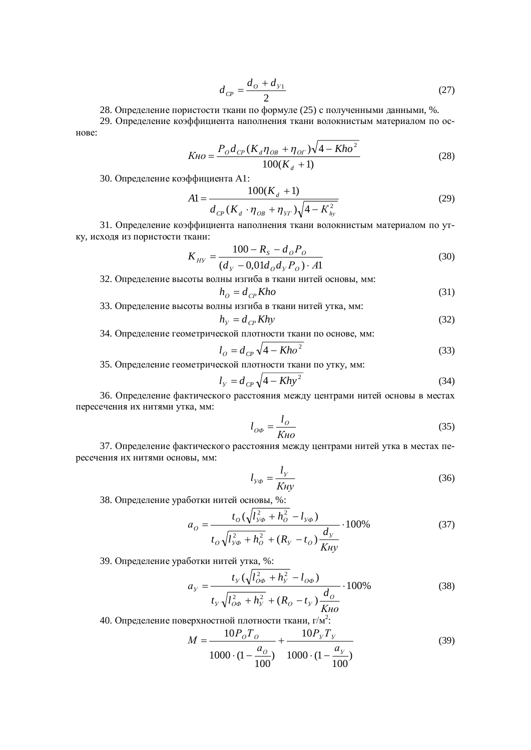$$
d_{CP} = \frac{d_O + d_{V1}}{2} \tag{27}
$$

28. Определение пористости ткани по формуле (25) с полученными данными, %.

29. Определение коэффициента наполнения ткани волокнистым материалом по основе:

$$
K_{HO} = \frac{P_{O}d_{CP}(K_{d}\eta_{OB} + \eta_{OT})\sqrt{4 - Kho^{2}}}{100(K_{d} + 1)}
$$
(28)

30. Определение коэффициента А1:

$$
A1 = \frac{100(K_d + 1)}{d_{CP}(K_d \cdot \eta_{OB} + \eta_{yr})\sqrt{4 - K_{hy}^2}}
$$
(29)

31. Определение коэффициента наполнения ткани волокнистым материалом по утку, исходя из пористости ткани:

$$
K_{HY} = \frac{100 - R_S - d_O P_O}{(d_V - 0.01d_O d_V P_O) \cdot A1}
$$
(30)

32. Определение высоты волны изгиба в ткани нитей основы, мм:  $h_o = d_{cp} Kho$  (31)

33. Определение высоты волны изгиба в ткани нитей утка, мм:

$$
h_y = d_{CP} K h y \tag{32}
$$

34. Определение геометрической плотности ткани по основе, мм:

$$
l_o = d_{\text{CP}} \sqrt{4 - Kho^2} \tag{33}
$$

35. Определение геометрической плотности ткани по утку, мм:

$$
l_{y} = d_{\text{CP}} \sqrt{4 - Kh y^{2}}
$$
\n(34)

36. Определение фактического расстояния между центрами нитей основы в местах пересечения их нитями утка, мм:

$$
l_{O\phi} = \frac{l_O}{K \mu O} \tag{35}
$$

37. Определение фактического расстояния между центрами нитей утка в местах пересечения их нитями основы, мм:

$$
l_{y\phi} = \frac{l_y}{K\mu y} \tag{36}
$$

38. Определение уработки нитей основы, %:

$$
a_{O} = \frac{t_{O}(\sqrt{l_{y\phi}^{2} + h_{O}^{2} - l_{y\phi}})}{t_{O}\sqrt{l_{y\phi}^{2} + h_{O}^{2} + (R_{y} - t_{O})}\frac{d_{y}}{K\mu y}} \cdot 100\%
$$
(37)

39. Определение уработки нитей утка, %:

$$
a_{y} = \frac{t_{y}(\sqrt{l_{oo}^{2} + h_{y}^{2} - l_{oo}})}{t_{y}\sqrt{l_{oo}^{2} + h_{y}^{2} + (R_{o} - t_{y})}\frac{d_{o}}{K_{HO}}}\cdot 100\%
$$
(38)

40. Определение поверхностной плотности ткани, г/м<sup>2</sup>:

$$
M = \frac{10P_o T_o}{1000 \cdot (1 - \frac{a_o}{100})} + \frac{10P_v T_v}{1000 \cdot (1 - \frac{a_v}{100})}
$$
(39)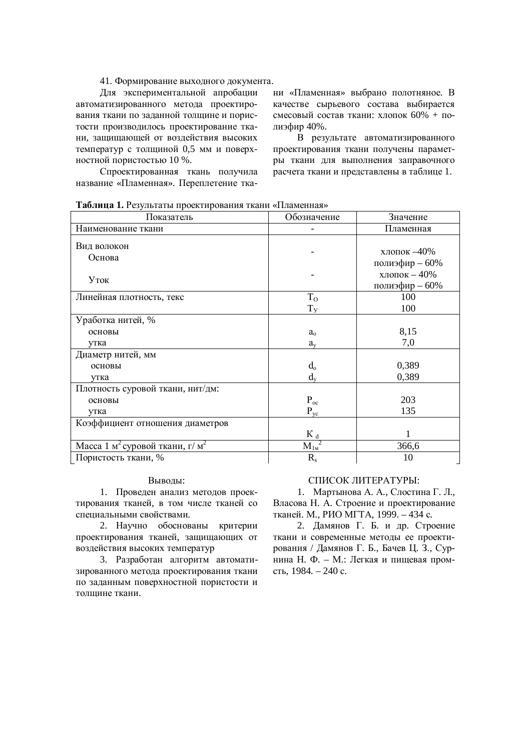41. Формирование выходного документа.

Для экспериментальной апробации автоматизированного метода проектирования ткани по заданной толщине и пористости производилось проектирование ткани, защищающей от воздействия высоких температур с толщиной 0,5 мм и поверхностной пористостью 10 %.

Спроектированная ткань получила название «Пламенная». Переплетение ткани «Пламенная» выбрано полотняное. В качестве сырьевого состава выбирается смесовый состав ткани: хлопок  $60\% + \text{no}$ лиэфир 40%.

В результате автоматизированного проектирования ткани получены параметры ткани для выполнения заправочного расчета ткани и представлены в таблице 1.

Таблица 1. Результаты проектирования ткани «Пламенная»

| Показатель                                             | Обозначение    | Значение                          |
|--------------------------------------------------------|----------------|-----------------------------------|
| Наименование ткани                                     |                | Пламенная                         |
| Вид волокон<br>Основа                                  |                | хлопок $-40\%$<br>полиэфир - 60%  |
| $y_{\text{TOK}}$                                       |                | хлопок - $40\%$<br>полиэфир - 60% |
| Линейная плотность, текс                               | $T_{O}$        | 100                               |
|                                                        | T <sub>y</sub> | 100                               |
| Уработка нитей, %                                      |                |                                   |
| основы                                                 | $a_{o}$        | 8,15                              |
| утка                                                   | $a_{v}$        | 7,0                               |
| Диаметр нитей, мм                                      |                |                                   |
| основы                                                 | $d_{o}$        | 0,389                             |
| утка                                                   | $d_v$          | 0,389                             |
| Плотность суровой ткани, нит/дм:                       |                |                                   |
| основы                                                 | $P_{oc}$       | 203                               |
| утка                                                   | $P_{yc}$       | 135                               |
| Коэффициент отношения диаметров                        |                |                                   |
|                                                        | $K_d$          |                                   |
| Масса 1 м <sup>2</sup> суровой ткани, г/м <sup>2</sup> | $M_{1M}^2$     | 366,6                             |
| Пористость ткани, %                                    | $R_{s}$        | 10                                |

## Выводы:

1. Проведен анализ методов проектирования тканей, в том числе тканей со спениальными свойствами.

2. Научно обоснованы критерии проектирования тканей, защищающих от воздействия высоких температур

3. Разработан алгоритм автоматизированного метода проектирования ткани по заданным поверхностной пористости и топшине ткани

## СПИСОК ЛИТЕРАТУРЫ:

1. Мартынова А. А., Слостина Г. Л., Власова Н. А. Строение и проектирование тканей. М., РИО МГТА, 1999. – 434 с.

2. Дамянов Г. Б. и др. Строение ткани и современные методы ее проектирования / Дамянов Г. Б., Бачев Ц. З., Сурнина Н. Ф. – М.: Легкая и пищевая промсть, 1984. – 240 с.